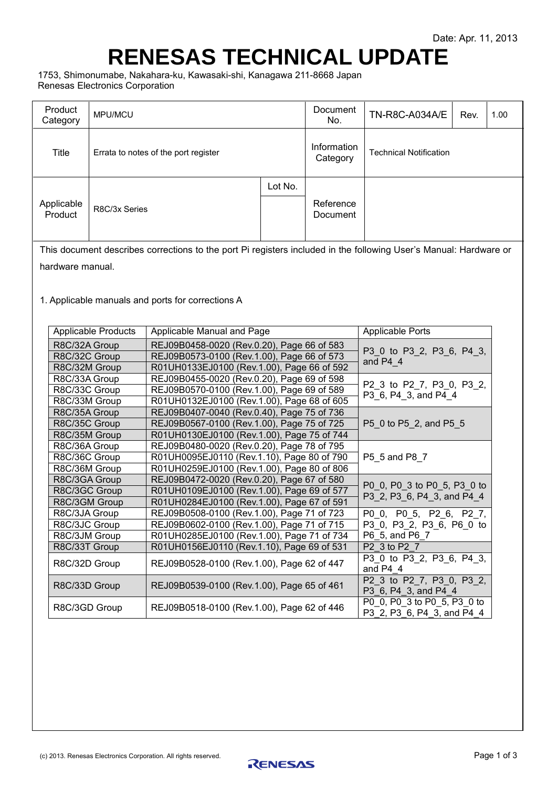## <span id="page-0-1"></span><span id="page-0-0"></span>**RENESAS TECHNICAL UPDATE**

1753, Shimonumabe, Nakahara-ku, Kawasaki-shi, Kanagawa 211-8668 Japan Renesas Electronics Corporation

| Product<br>Category                                                                                       | MPU/MCU                                                      |                                                                                                                   |                                            | Document<br>No.                       | TN-R8C-A034A/E                                            | Rev. | 1.00 |  |
|-----------------------------------------------------------------------------------------------------------|--------------------------------------------------------------|-------------------------------------------------------------------------------------------------------------------|--------------------------------------------|---------------------------------------|-----------------------------------------------------------|------|------|--|
| Title                                                                                                     | Errata to notes of the port register                         |                                                                                                                   |                                            | Information<br>Category               | <b>Technical Notification</b>                             |      |      |  |
|                                                                                                           |                                                              |                                                                                                                   | Lot No.                                    |                                       |                                                           |      |      |  |
| Applicable<br>Product                                                                                     | R8C/3x Series                                                |                                                                                                                   |                                            | Reference<br>Document                 |                                                           |      |      |  |
|                                                                                                           |                                                              | This document describes corrections to the port Pi registers included in the following User's Manual: Hardware or |                                            |                                       |                                                           |      |      |  |
| hardware manual.                                                                                          |                                                              |                                                                                                                   |                                            |                                       |                                                           |      |      |  |
|                                                                                                           |                                                              |                                                                                                                   |                                            |                                       |                                                           |      |      |  |
|                                                                                                           |                                                              | 1. Applicable manuals and ports for corrections A                                                                 |                                            |                                       |                                                           |      |      |  |
|                                                                                                           | <b>Applicable Products</b>                                   | Applicable Manual and Page                                                                                        |                                            |                                       | <b>Applicable Ports</b>                                   |      |      |  |
| R8C/32A Group                                                                                             |                                                              | REJ09B0458-0020 (Rev.0.20), Page 66 of 583                                                                        |                                            |                                       |                                                           |      |      |  |
| R8C/32C Group                                                                                             |                                                              | REJ09B0573-0100 (Rev.1.00), Page 66 of 573                                                                        |                                            |                                       | P3 0 to P3 2, P3 6, P4 3,<br>and P4 4                     |      |      |  |
| R8C/32M Group                                                                                             |                                                              |                                                                                                                   | R01UH0133EJ0100 (Rev.1.00), Page 66 of 592 |                                       |                                                           |      |      |  |
| R8C/33A Group                                                                                             |                                                              | REJ09B0455-0020 (Rev.0.20), Page 69 of 598                                                                        |                                            |                                       | P2_3 to P2_7, P3_0, P3_2,                                 |      |      |  |
| R8C/33C Group                                                                                             |                                                              | REJ09B0570-0100 (Rev.1.00), Page 69 of 589                                                                        |                                            |                                       | P3_6, P4_3, and P4_4                                      |      |      |  |
| R8C/33M Group                                                                                             |                                                              | R01UH0132EJ0100 (Rev.1.00), Page 68 of 605                                                                        |                                            |                                       |                                                           |      |      |  |
| R8C/35A Group                                                                                             |                                                              | REJ09B0407-0040 (Rev.0.40), Page 75 of 736<br>REJ09B0567-0100 (Rev.1.00), Page 75 of 725                          |                                            |                                       |                                                           |      |      |  |
| R8C/35C Group                                                                                             |                                                              |                                                                                                                   | R01UH0130EJ0100 (Rev.1.00), Page 75 of 744 |                                       | P5_0 to P5_2, and P5_5                                    |      |      |  |
| R8C/35M Group<br>R8C/36A Group                                                                            |                                                              |                                                                                                                   |                                            |                                       |                                                           |      |      |  |
| REJ09B0480-0020 (Rev.0.20), Page 78 of 795<br>R01UH0095EJ0110 (Rev.1.10), Page 80 of 790<br>R8C/36C Group |                                                              |                                                                                                                   |                                            | P5_5 and P8_7                         |                                                           |      |      |  |
| R01UH0259EJ0100 (Rev.1.00), Page 80 of 806<br>R8C/36M Group                                               |                                                              |                                                                                                                   |                                            |                                       |                                                           |      |      |  |
|                                                                                                           | REJ09B0472-0020 (Rev.0.20), Page 67 of 580<br>R8C/3GA Group  |                                                                                                                   |                                            |                                       |                                                           |      |      |  |
| R01UH0109EJ0100 (Rev.1.00), Page 69 of 577<br>R8C/3GC Group                                               |                                                              |                                                                                                                   |                                            |                                       | P0 0, P0 3 to P0 5, P3 0 to                               |      |      |  |
| R8C/3GM Group                                                                                             |                                                              | R01UH0284EJ0100 (Rev.1.00), Page 67 of 591                                                                        |                                            |                                       | P3_2, P3_6, P4_3, and P4_4                                |      |      |  |
|                                                                                                           | R8C/3JA Group<br>REJ09B0508-0100 (Rev.1.00), Page 71 of 723  |                                                                                                                   |                                            |                                       | P0 0, P0 5, P2 6, P2 7,                                   |      |      |  |
|                                                                                                           | R8C/3JC Group<br>REJ09B0602-0100 (Rev. 1.00), Page 71 of 715 |                                                                                                                   |                                            |                                       | P3_0, P3_2, P3_6, P6_0 to                                 |      |      |  |
|                                                                                                           | R8C/3JM Group<br>R01UH0285EJ0100 (Rev.1.00), Page 71 of 734  |                                                                                                                   |                                            |                                       | P6 5, and P6 7                                            |      |      |  |
|                                                                                                           | R01UH0156EJ0110 (Rev.1.10), Page 69 of 531<br>R8C/33T Group  |                                                                                                                   |                                            |                                       | P2 3 to P2 7                                              |      |      |  |
|                                                                                                           | REJ09B0528-0100 (Rev.1.00), Page 62 of 447<br>R8C/32D Group  |                                                                                                                   |                                            | P3_0 to P3_2, P3_6, P4_3,<br>and P4 4 |                                                           |      |      |  |
|                                                                                                           | R8C/33D Group<br>REJ09B0539-0100 (Rev.1.00), Page 65 of 461  |                                                                                                                   |                                            |                                       | P2_3 to P2_7, P3_0, P3_2,<br>P3_6, P4_3, and P4_4         |      |      |  |
| R8C/3GD Group<br>REJ09B0518-0100 (Rev.1.00), Page 62 of 446                                               |                                                              |                                                                                                                   |                                            |                                       | P0_0, P0_3 to P0_5, P3_0 to<br>P3 2, P3 6, P4 3, and P4 4 |      |      |  |
|                                                                                                           |                                                              |                                                                                                                   |                                            |                                       |                                                           |      |      |  |

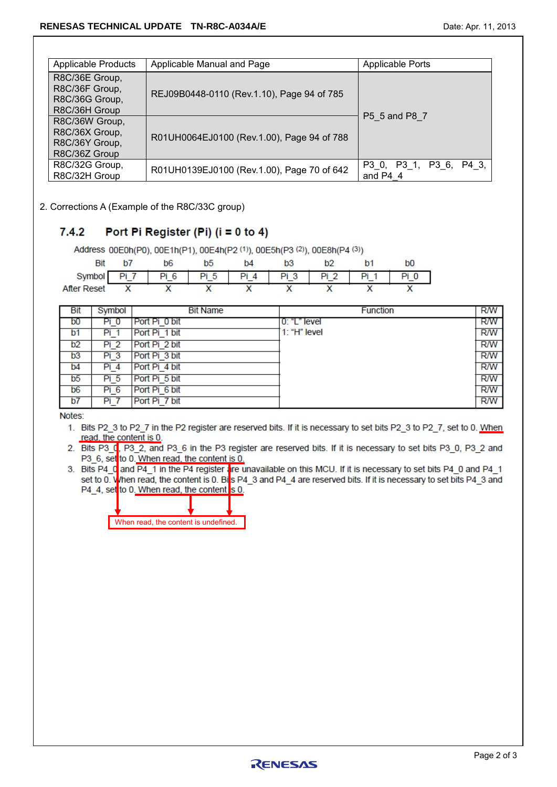| <b>Applicable Products</b>                                          | <b>Applicable Ports</b>                    |                                       |  |  |
|---------------------------------------------------------------------|--------------------------------------------|---------------------------------------|--|--|
| R8C/36E Group,<br>R8C/36F Group,<br>R8C/36G Group,<br>R8C/36H Group | REJ09B0448-0110 (Rev.1.10), Page 94 of 785 | P5 5 and P8 7                         |  |  |
| R8C/36W Group,<br>R8C/36X Group,<br>R8C/36Y Group,<br>R8C/36Z Group | R01UH0064EJ0100 (Rev.1.00), Page 94 of 788 |                                       |  |  |
| R8C/32G Group,<br>R8C/32H Group                                     | R01UH0139EJ0100 (Rev.1.00), Page 70 of 642 | P3 0, P3 1, P3 6, P4 3,<br>and $P4$ 4 |  |  |

2. Corrections A (Example of the R8C/33C group)

## $7.4.2$ Port Pi Register (Pi) ( $i = 0$  to 4)

Address 00E0h(P0), 00E1h(P1), 00E4h(P2 (1)), 00E5h(P3 (2)), 00E8h(P4 (3)) **Bit**  $b7$  $b6$  $b<sub>5</sub>$  $b4$  $b3$  $b2$  $b<sub>1</sub>$  $h<sub>0</sub>$  $Pi 0$ Symbol  $Pi 7$  $Pi 6$ Pi 5  $Pi 4$  $Pi3$  $Pi2$  $Pi 1$ **After Reset**  $\overline{\mathsf{x}}$  $\overline{\mathsf{x}}$  $\overline{\mathsf{x}}$  $\overline{\mathsf{x}}$  $\overline{\mathsf{x}}$  $\overline{\mathsf{x}}$ X  $\overline{\mathsf{x}}$ 

| Bit            | Symbol          | <b>Bit Name</b> | <b>Function</b> | <b>R/W</b> |
|----------------|-----------------|-----------------|-----------------|------------|
| b <sub>0</sub> |                 | Port Pi 0 bit   | $0:$ "L" level  | <b>R/W</b> |
| b <sub>1</sub> |                 | Port Pi 1 bit   | $1: "H"$ level  | R/W        |
| b2             | Pi <sub>2</sub> | Port Pi 2 bit   |                 | <b>R/W</b> |
| b3             | Pi 3            | Port Pi 3 bit   |                 | <b>R/W</b> |
| b4             | Pi 4            | Port Pi 4 bit   |                 | <b>R/W</b> |
| b <sub>5</sub> | Pi 5            | Port Pi 5 bit   |                 | <b>R/W</b> |
| b <sub>6</sub> | Pi 6            | Port Pi 6 bit   |                 | <b>R/W</b> |
| b7             | Pi i            | Port Pi 7 bit   |                 | <b>R/W</b> |

Notes:

- 1. Bits P2 3 to P2 7 in the P2 register are reserved bits. If it is necessary to set bits P2 3 to P2 7, set to 0. When read, the content is 0.
- 2. Bits P3 C, P3 2, and P3 6 in the P3 register are reserved bits. If it is necessary to set bits P3 0, P3 2 and P3\_6, set to 0. When read, the content is 0.
- 3. Bits P4 0 and P4 1 in the P4 register are unavailable on this MCU. If it is necessary to set bits P4 0 and P4 1 set to 0. When read, the content is 0. Bits P4 3 and P4 4 are reserved bits. If it is necessary to set bits P4 3 and P4 4, set to 0. When read, the content s 0.

| When read, the content is undefined. |  |
|--------------------------------------|--|